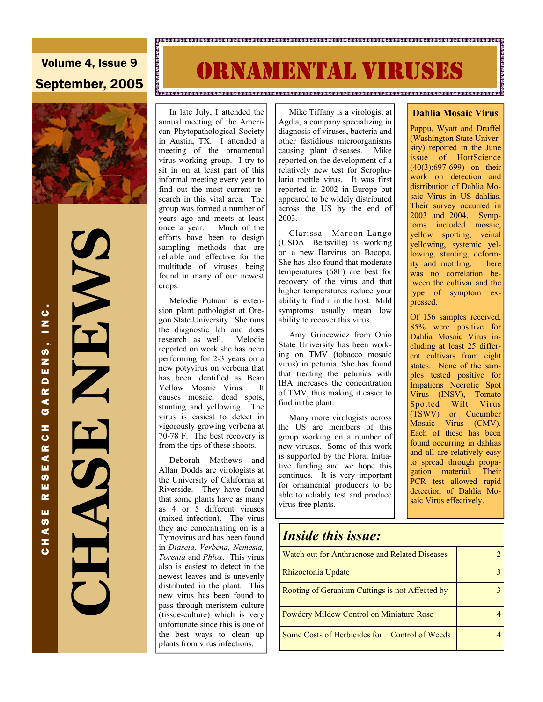**IRNAMENTAL VIRUSES** 

a.<br>Desegada e concelho de concelho de concelho de concelho de concelho de concelho de concelho de concelho de co

## Volume 4, Issue 9 September, 2005



 **CHASE NEWS NHANT** 

 In late July, I attended the annual meeting of the American Phytopathological Society in Austin, TX. I attended a meeting of the ornamental virus working group. I try to sit in on at least part of this informal meeting every year to find out the most current research in this vital area. The group was formed a number of years ago and meets at least once a year. Much of the efforts have been to design sampling methods that are reliable and effective for the multitude of viruses being found in many of our newest crops.

 Melodie Putnam is extension plant pathologist at Oregon State University. She runs the diagnostic lab and does research as well. Melodie reported on work she has been performing for 2-3 years on a new potyvirus on verbena that has been identified as Bean Yellow Mosaic Virus. It causes mosaic, dead spots, stunting and yellowing. The virus is easiest to detect in vigorously growing verbena at 70-78 F. The best recovery is from the tips of these shoots.

 Deborah Mathews and Allan Dodds are virologists at the University of California at Riverside. They have found that some plants have as many as 4 or 5 different viruses (mixed infection). The virus they are concentrating on is a Tymovirus and has been found in *Diascia, Verbena, Nemesia, Torenia* and *Phlox*. This virus also is easiest to detect in the newest leaves and is unevenly distributed in the plant. This new virus has been found to pass through meristem culture (tissue-culture) which is very unfortunate since this is one of the best ways to clean up plants from virus infections.

 Mike Tiffany is a virologist at Agdia, a company specializing in diagnosis of viruses, bacteria and other fastidious microorganisms causing plant diseases. Mike reported on the development of a relatively new test for Scrophularia mottle virus. It was first reported in 2002 in Europe but appeared to be widely distributed across the US by the end of 2003.

 Clarissa Maroon-Lango (USDA—Beltsville) is working on a new Ilarvirus on Bacopa. She has also found that moderate temperatures (68F) are best for recovery of the virus and that higher temperatures reduce your ability to find it in the host. Mild symptoms usually mean low ability to recover this virus.

 Amy Grincewicz from Ohio State University has been working on TMV (tobacco mosaic virus) in petunia. She has found that treating the petunias with IBA increases the concentration of TMV, thus making it easier to find in the plant.

 Many more virologists across the US are members of this group working on a number of new viruses. Some of this work is supported by the Floral Initiative funding and we hope this continues. It is very important for ornamental producers to be able to reliably test and produce virus-free plants.

#### **Dahlia Mosaic Virus**

Pappu, Wyatt and Druffel (Washington State University) reported in the June issue of HortScience (40(3):697-699) on their work on detection and distribution of Dahlia Mosaic Virus in US dahlias. Their survey occurred in 2003 and 2004. Symptoms included mosaic, yellow spotting, veinal yellowing, systemic yellowing, stunting, deformity and mottling. There was no correlation between the cultivar and the type of symptom expressed.

Of 156 samples received, 85% were positive for Dahlia Mosaic Virus including at least 25 different cultivars from eight states. None of the samples tested positive for Impatiens Necrotic Spot Virus (INSV), Tomato Spotted Wilt Virus (TSWV) or Cucumber Mosaic Virus (CMV). Each of these has been found occurring in dahlias and all are relatively easy to spread through propagation material. Their PCR test allowed rapid detection of Dahlia Mosaic Virus effectively.

# *Inside this issue:* Watch out for Anthracnose and Related Diseases 2 Rhizoctonia Update 3 Rooting of Geranium Cuttings is not Affected by 3 Some Costs of Herbicides for Control of Weeds 4 Powdery Mildew Control on Miniature Rose 24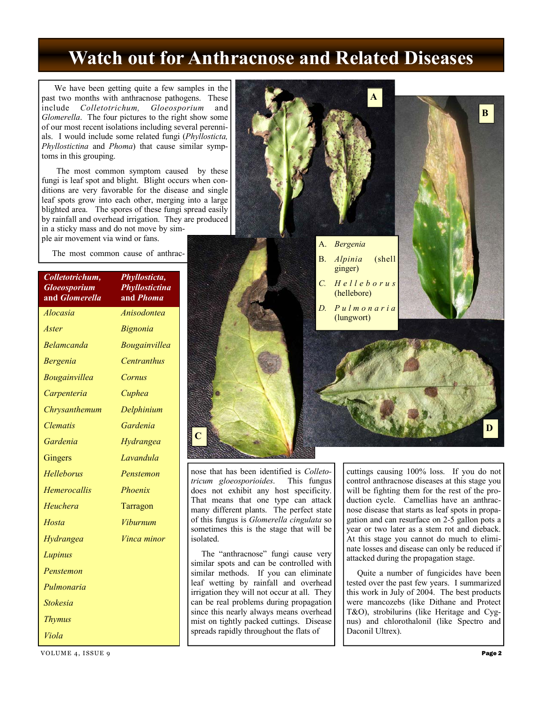## **Watch out for Anthracnose and Related Diseases**

 We have been getting quite a few samples in the past two months with anthracnose pathogens. These include *Colletotrichum, Gloeosporium* and *Glomerella*. The four pictures to the right show some of our most recent isolations including several perennials. I would include some related fungi (*Phyllosticta, Phyllostictina* and *Phoma*) that cause similar symptoms in this grouping.

 The most common symptom caused by these fungi is leaf spot and blight. Blight occurs when conditions are very favorable for the disease and single leaf spots grow into each other, merging into a large blighted area. The spores of these fungi spread easily by rainfall and overhead irrigation. They are produced in a sticky mass and do not move by simple air movement via wind or fans.

The most common cause of anthrac-

| Colletotrichum,<br><b>Gloeosporium</b><br>and <i>Glomerella</i> | Phyllosticta,<br>Phyllostictina<br>and <i>Phoma</i> |  |  |  |
|-----------------------------------------------------------------|-----------------------------------------------------|--|--|--|
| Alocasia                                                        | Anisodontea                                         |  |  |  |
| Aster                                                           | <i>Bignonia</i>                                     |  |  |  |
| Belamcanda                                                      | <i>Bougainvillea</i>                                |  |  |  |
| <i>Bergenia</i>                                                 | <b>Centranthus</b>                                  |  |  |  |
| Bougainvillea                                                   | Cornus                                              |  |  |  |
| Carpenteria                                                     | Cuphea                                              |  |  |  |
| Chrysanthemum                                                   | Delphinium                                          |  |  |  |
| <i><b>Clematis</b></i>                                          | Gardenia                                            |  |  |  |
| Gardenia                                                        | Hydrangea                                           |  |  |  |
| Gingers                                                         | Lavandula                                           |  |  |  |
| Helleborus                                                      | Penstemon                                           |  |  |  |
| <b>Hemerocallis</b>                                             | Phoenix                                             |  |  |  |
| Heuchera                                                        | Tarragon                                            |  |  |  |
| Hosta                                                           | Viburnum                                            |  |  |  |
| Hydrangea                                                       | <i>Vinca minor</i>                                  |  |  |  |
| Lupinus                                                         |                                                     |  |  |  |
| Penstemon                                                       |                                                     |  |  |  |
| Pulmonaria                                                      |                                                     |  |  |  |
| <b>Stokesia</b>                                                 |                                                     |  |  |  |
| <b>Thymus</b>                                                   |                                                     |  |  |  |
| Viola                                                           |                                                     |  |  |  |



nose that has been identified is *Colletotricum gloeosporioides*. This fungus does not exhibit any host specificity. That means that one type can attack many different plants. The perfect state of this fungus is *Glomerella cingulata* so sometimes this is the stage that will be isolated.

 The "anthracnose" fungi cause very similar spots and can be controlled with similar methods. If you can eliminate leaf wetting by rainfall and overhead irrigation they will not occur at all. They can be real problems during propagation since this nearly always means overhead mist on tightly packed cuttings. Disease spreads rapidly throughout the flats of

cuttings causing 100% loss. If you do not control anthracnose diseases at this stage you will be fighting them for the rest of the production cycle. Camellias have an anthracnose disease that starts as leaf spots in propagation and can resurface on 2-5 gallon pots a year or two later as a stem rot and dieback. At this stage you cannot do much to eliminate losses and disease can only be reduced if attacked during the propagation stage.

 Quite a number of fungicides have been tested over the past few years. I summarized this work in July of 2004. The best products were mancozebs (like Dithane and Protect T&O), strobilurins (like Heritage and Cygnus) and chlorothalonil (like Spectro and Daconil Ultrex).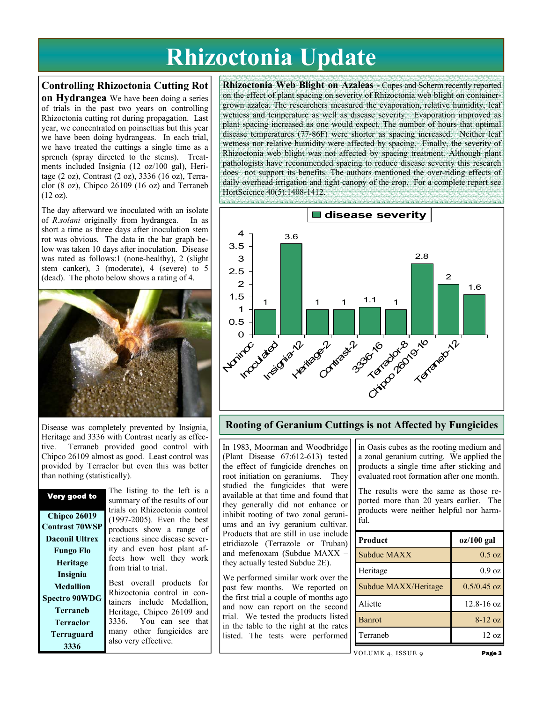# **Rhizoctonia Update**

#### **Controlling Rhizoctonia Cutting Rot**

**on Hydrangea** We have been doing a series of trials in the past two years on controlling Rhizoctonia cutting rot during propagation. Last year, we concentrated on poinsettias but this year we have been doing hydrangeas. In each trial, we have treated the cuttings a single time as a sprench (spray directed to the stems). Treatments included Insignia (12 oz/100 gal), Heritage (2 oz), Contrast (2 oz), 3336 (16 oz), Terraclor (8 oz), Chipco 26109 (16 oz) and Terraneb (12 oz).

The day afterward we inoculated with an isolate of *R.solani* originally from hydrangea. In as short a time as three days after inoculation stem rot was obvious. The data in the bar graph below was taken 10 days after inoculation. Disease was rated as follows:1 (none-healthy), 2 (slight stem canker), 3 (moderate), 4 (severe) to 5 (dead). The photo below shows a rating of 4.



Disease was completely prevented by Insignia, Heritage and 3336 with Contrast nearly as effective. Terraneb provided good control with Chipco 26109 almost as good. Least control was provided by Terraclor but even this was better than nothing (statistically).

| Very good to          | rne iisui     |  |  |
|-----------------------|---------------|--|--|
|                       | summary       |  |  |
|                       | trials on     |  |  |
| <b>Chipco 26019</b>   | $(1997 - 20)$ |  |  |
| <b>Contrast 70WSP</b> | products      |  |  |
| <b>Daconil Ultrex</b> | reactions     |  |  |
| <b>Fungo Flo</b>      | ity and o     |  |  |
| Heritage              | fects how     |  |  |
|                       | from trial    |  |  |
| Insignia              |               |  |  |
| <b>Medallion</b>      | Best ove      |  |  |
| <b>Spectro 90WDG</b>  | Rhizoctor     |  |  |
|                       | tainers i     |  |  |
| <b>Terraneb</b>       | Heritage,     |  |  |
| <b>Terraclor</b>      | 3336.         |  |  |
| Terraguard            | many ot       |  |  |
| 3336                  | also very     |  |  |
|                       |               |  |  |

The listing to the left is a of the results of our Rhizoctonia control (1997). Even the best show a range of since disease severeven host plant afw well they work to trial.

erall products for nia control in coninclude Medallion. Chipco 26109 and You can see that her fungicides are effective.

**Rhizoctonia Web Blight on Azaleas -** Copes and Scherm recently reported on the effect of plant spacing on severity of Rhizoctonia web blight on containergrown azalea. The researchers measured the evaporation, relative humidity, leaf wetness and temperature as well as disease severity. Evaporation improved as plant spacing increased as one would expect. The number of hours that optimal disease temperatures (77-86F) were shorter as spacing increased. Neither leaf wetness nor relative humidity were affected by spacing. Finally, the severity of Rhizoctonia web blight was not affected by spacing treatment. Although plant pathologists have recommended spacing to reduce disease severity this research does not support its benefits. The authors mentioned the over-riding effects of daily overhead irrigation and tight canopy of the crop. For a complete report see HortScience 40(5):1408-1412.



#### **Rooting of Geranium Cuttings is not Affected by Fungicides**

In 1983, Moorman and Woodbridge (Plant Disease 67:612-613) tested the effect of fungicide drenches on root initiation on geraniums. They studied the fungicides that were available at that time and found that they generally did not enhance or inhibit rooting of two zonal geraniums and an ivy geranium cultivar. Products that are still in use include etridiazole (Terrazole or Truban) and mefenoxam (Subdue MAXX – they actually tested Subdue 2E).

We performed similar work over the past few months. We reported on the first trial a couple of months ago and now can report on the second trial. We tested the products listed in the table to the right at the rates listed. The tests were performed

in Oasis cubes as the rooting medium and a zonal geranium cutting. We applied the products a single time after sticking and evaluated root formation after one month.

The results were the same as those reported more than 20 years earlier. The products were neither helpful nor harmful.

| Product              | oz/100 gal       |
|----------------------|------------------|
| Subdue MAXX          | $0.5 \text{ oz}$ |
| Heritage             | $0.9 \text{ oz}$ |
| Subdue MAXX/Heritage | $0.5/0.45$ oz    |
| Aliette              | $12.8 - 16$ oz   |
| <b>Banrot</b>        | $8-12$ oz        |
| Terraneb             | 12.0z            |

VOLUME 4, ISSUE 9 Page 3